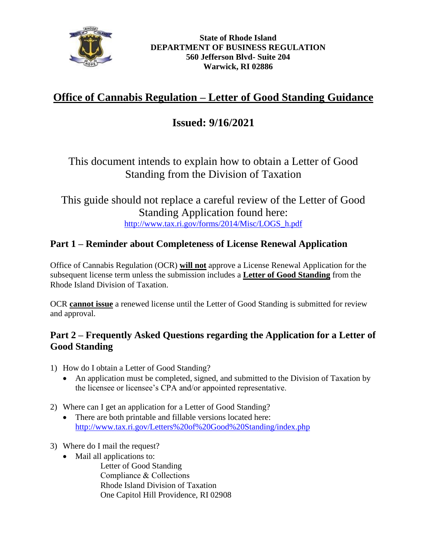

# **Office of Cannabis Regulation – Letter of Good Standing Guidance**

## **Issued: 9/16/2021**

## This document intends to explain how to obtain a Letter of Good Standing from the Division of Taxation

### This guide should not replace a careful review of the Letter of Good Standing Application found here: [http://www.tax.ri.gov/forms/2014/Misc/LOGS\\_h.pdf](http://www.tax.ri.gov/forms/2014/Misc/LOGS_h.pdf)

#### **Part 1 – Reminder about Completeness of License Renewal Application**

Office of Cannabis Regulation (OCR) **will not** approve a License Renewal Application for the subsequent license term unless the submission includes a **Letter of Good Standing** from the Rhode Island Division of Taxation.

OCR **cannot issue** a renewed license until the Letter of Good Standing is submitted for review and approval.

#### **Part 2 – Frequently Asked Questions regarding the Application for a Letter of Good Standing**

- 1) How do I obtain a Letter of Good Standing?
	- An application must be completed, signed, and submitted to the Division of Taxation by the licensee or licensee's CPA and/or appointed representative.
- 2) Where can I get an application for a Letter of Good Standing?
	- There are both printable and fillable versions located here: <http://www.tax.ri.gov/Letters%20of%20Good%20Standing/index.php>
- 3) Where do I mail the request?
	- Mail all applications to:

Letter of Good Standing Compliance & Collections Rhode Island Division of Taxation One Capitol Hill Providence, RI 02908